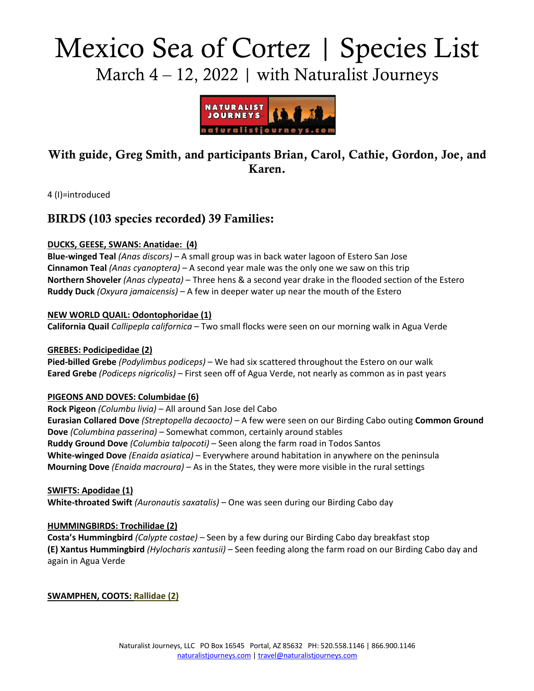# Mexico Sea of Cortez | Species List March  $4 - 12$ , 2022 | with Naturalist Journeys



# With guide, Greg Smith, and participants Brian, Carol, Cathie, Gordon, Joe, and Karen.

4 (I)=introduced

# BIRDS (103 species recorded) 39 Families:

# **DUCKS, GEESE, SWANS: Anatidae: (4)**

**Blue-winged Teal** *(Anas discors)* – A small group was in back water lagoon of Estero San Jose **Cinnamon Teal** *(Anas cyanoptera)* – A second year male was the only one we saw on this trip **Northern Shoveler** *(Anas clypeata)* – Three hens & a second year drake in the flooded section of the Estero **Ruddy Duck** *(Oxyura jamaicensis)* – A few in deeper water up near the mouth of the Estero

# **NEW WORLD QUAIL: Odontophoridae (1)**

**California Quail** *Callipepla californica* – Two small flocks were seen on our morning walk in Agua Verde

# **GREBES: Podicipedidae (2)**

**Pied-billed Grebe** *(Podylimbus podiceps)* – We had six scattered throughout the Estero on our walk **Eared Grebe** *(Podiceps nigricolis)* – First seen off of Agua Verde, not nearly as common as in past years

### **PIGEONS AND DOVES: Columbidae (6)**

**Rock Pigeon** *(Columbu livia)* – All around San Jose del Cabo **Eurasian Collared Dove** *(Streptopella decaocto)* – A few were seen on our Birding Cabo outing **Common Ground Dove** *(Columbina passerina)* – Somewhat common, certainly around stables **Ruddy Ground Dove** *(Columbia talpocoti)* – Seen along the farm road in Todos Santos **White-winged Dove** *(Enaida asiatica)* – Everywhere around habitation in anywhere on the peninsula **Mourning Dove** *(Enaida macroura)* – As in the States, they were more visible in the rural settings

### **SWIFTS: Apodidae (1)**

**White-throated Swift** *(Auronautis saxatalis)* – One was seen during our Birding Cabo day

### **HUMMINGBIRDS: Trochilidae (2)**

**Costa's Hummingbird** *(Calypte costae)* – Seen by a few during our Birding Cabo day breakfast stop **(E) Xantus Hummingbird** *(Hylocharis xantusii)* – Seen feeding along the farm road on our Birding Cabo day and again in Agua Verde

**SWAMPHEN, COOTS: Rallidae (2)**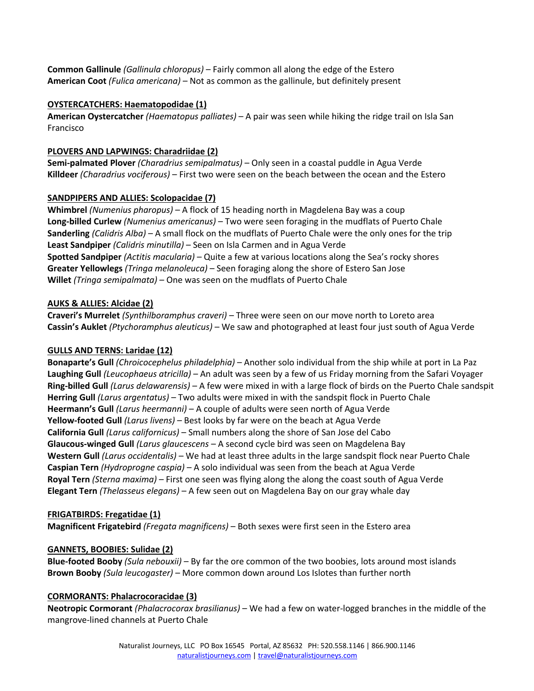**Common Gallinule** *(Gallinula chloropus)* – Fairly common all along the edge of the Estero **American Coot** *(Fulica americana)* – Not as common as the gallinule, but definitely present

# **OYSTERCATCHERS: Haematopodidae (1)**

**American Oystercatcher** *(Haematopus palliates)* – A pair was seen while hiking the ridge trail on Isla San Francisco

# **PLOVERS AND LAPWINGS: Charadriidae (2)**

**Semi-palmated Plover** *(Charadrius semipalmatus)* – Only seen in a coastal puddle in Agua Verde **Killdeer** *(Charadrius vociferous)* – First two were seen on the beach between the ocean and the Estero

# **SANDPIPERS AND ALLIES: Scolopacidae (7)**

**Whimbrel** *(Numenius pharopus)* – A flock of 15 heading north in Magdelena Bay was a coup **Long-billed Curlew** *(Numenius americanus)* – Two were seen foraging in the mudflats of Puerto Chale **Sanderling** *(Calidris Alba)* – A small flock on the mudflats of Puerto Chale were the only ones for the trip **Least Sandpiper** *(Calidris minutilla)* – Seen on Isla Carmen and in Agua Verde **Spotted Sandpiper** *(Actitis macularia)* – Quite a few at various locations along the Sea's rocky shores **Greater Yellowlegs** *(Tringa melanoleuca)* – Seen foraging along the shore of Estero San Jose **Willet** *(Tringa semipalmata)* – One was seen on the mudflats of Puerto Chale

# **AUKS & ALLIES: Alcidae (2)**

**Craveri's Murrelet** *(Synthilboramphus craveri)* – Three were seen on our move north to Loreto area **Cassin's Auklet** *(Ptychoramphus aleuticus)* – We saw and photographed at least four just south of Agua Verde

# **GULLS AND TERNS: Laridae (12)**

**Bonaparte's Gull** *(Chroicocephelus philadelphia)* – Another solo individual from the ship while at port in La Paz **Laughing Gull** *(Leucophaeus atricilla)* – An adult was seen by a few of us Friday morning from the Safari Voyager **Ring-billed Gull** *(Larus delawarensis)* – A few were mixed in with a large flock of birds on the Puerto Chale sandspit **Herring Gull** *(Larus argentatus)* – Two adults were mixed in with the sandspit flock in Puerto Chale **Heermann's Gull** *(Larus heermanni)* – A couple of adults were seen north of Agua Verde **Yellow-footed Gull** *(Larus livens)* – Best looks by far were on the beach at Agua Verde **California Gull** *(Larus californicus)* – Small numbers along the shore of San Jose del Cabo **Glaucous-winged Gull** *(Larus glaucescens* – A second cycle bird was seen on Magdelena Bay **Western Gull** *(Larus occidentalis)* – We had at least three adults in the large sandspit flock near Puerto Chale **Caspian Tern** *(Hydroprogne caspia)* – A solo individual was seen from the beach at Agua Verde **Royal Tern** *(Sterna maxima)* – First one seen was flying along the along the coast south of Agua Verde **Elegant Tern** *(Thelasseus elegans)* – A few seen out on Magdelena Bay on our gray whale day

### **FRIGATBIRDS: Fregatidae (1)**

**Magnificent Frigatebird** *(Fregata magnificens)* – Both sexes were first seen in the Estero area

# **GANNETS, BOOBIES: Sulidae (2)**

**Blue-footed Booby** *(Sula nebouxii)* – By far the ore common of the two boobies, lots around most islands **Brown Booby** *(Sula leucogaster)* – More common down around Los Islotes than further north

### **CORMORANTS: Phalacrocoracidae (3)**

**Neotropic Cormorant** *(Phalacrocorax brasilianus)* – We had a few on water-logged branches in the middle of the mangrove-lined channels at Puerto Chale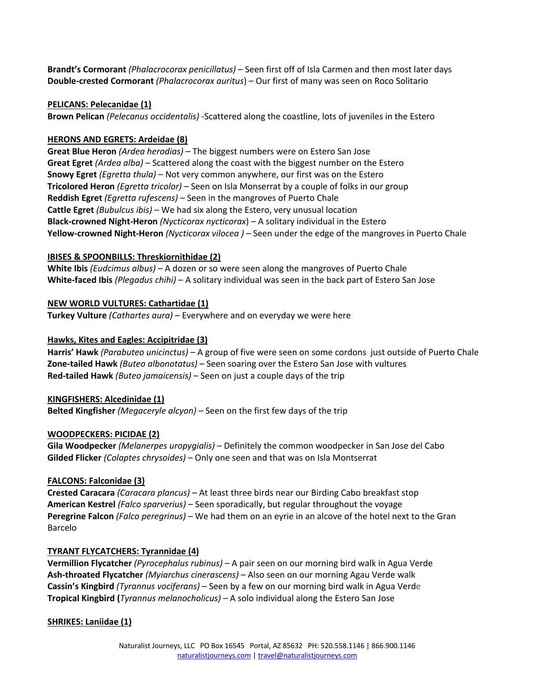**Brandt's Cormorant** *(Phalacrocorax penicillatus)* – Seen first off of Isla Carmen and then most later days **Double-crested Cormorant** *(Phalacrocorax auritus*) – Our first of many was seen on Roco Solitario

### **PELICANS: Pelecanidae (1)**

**Brown Pelican** *(Pelecanus occidentalis)* -Scattered along the coastline, lots of juveniles in the Estero

## **HERONS AND EGRETS: Ardeidae (8)**

**Great Blue Heron** *(Ardea herodias)* – The biggest numbers were on Estero San Jose **Great Egret** *(Ardea alba)* – Scattered along the coast with the biggest number on the Estero **Snowy Egret** *(Egretta thula)* – Not very common anywhere, our first was on the Estero **Tricolored Heron** *(Egretta tricolor)* – Seen on Isla Monserrat by a couple of folks in our group **Reddish Egret** *(Egretta rufescens)* – Seen in the mangroves of Puerto Chale **Cattle Egret** *(Bubulcus ibis)* – We had six along the Estero, very unusual location **Black-crowned Night-Heron** *(Nycticorax nycticorax*) – A solitary individual in the Estero **Yellow-crowned Night-Heron** *(Nycticorax vilocea )* – Seen under the edge of the mangroves in Puerto Chale

# **IBISES & SPOONBILLS: Threskiornithidae (2)**

**White Ibis** *(Eudcimus albus)* – A dozen or so were seen along the mangroves of Puerto Chale **White-faced Ibis** *(Plegadus chihi)* – A solitary individual was seen in the back part of Estero San Jose

# **NEW WORLD VULTURES: Cathartidae (1)**

**Turkey Vulture** *(Cathartes aura)* – Everywhere and on everyday we were here

# **Hawks, Kites and Eagles: Accipitridae (3)**

**Harris' Hawk** *(Parabuteo unicinctus)* – A group of five were seen on some cordons just outside of Puerto Chale **Zone-tailed Hawk** *(Buteo albonotatus)* – Seen soaring over the Estero San Jose with vultures **Red-tailed Hawk** *(Buteo jamaicensis)* – Seen on just a couple days of the trip

### **KINGFISHERS: Alcedinidae (1)**

**Belted Kingfisher** *(Megaceryle alcyon)* – Seen on the first few days of the trip

# **WOODPECKERS: PICIDAE (2)**

**Gila Woodpecker** *(Melanerpes uropygialis)* – Definitely the common woodpecker in San Jose del Cabo **Gilded Flicker** *(Colaptes chrysoides)* – Only one seen and that was on Isla Montserrat

# **FALCONS: Falconidae (3)**

**Crested Caracara** *(Caracara plancus)* – At least three birds near our Birding Cabo breakfast stop **American Kestrel** *(Falco sparverius)* – Seen sporadically, but regular throughout the voyage **Peregrine Falcon** *(Falco peregrinus) –* We had them on an eyrie in an alcove of the hotel next to the Gran Barcelo

### **TYRANT FLYCATCHERS: Tyrannidae (4)**

**Vermillion Flycatcher** *(Pyrocephalus rubinus)* – A pair seen on our morning bird walk in Agua Verde **Ash-throated Flycatcher** *(Myiarchus cinerascens)* – Also seen on our morning Agau Verde walk **Cassin's Kingbird** *(Tyrannus vociferans)* – Seen by a few on our morning bird walk in Agua Verde **Tropical Kingbird (***Tyrannus melanocholicus) –* A solo individual along the Estero San Jose

### **SHRIKES: Laniidae (1)**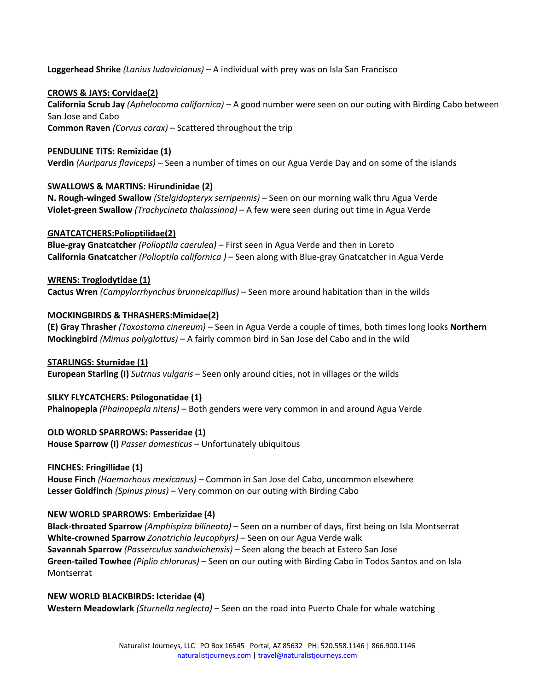**Loggerhead Shrike** *(Lanius ludovicianus)* – A individual with prey was on Isla San Francisco

# **CROWS & JAYS: Corvidae(2)**

**California Scrub Jay** *(Aphelocoma californica)* – A good number were seen on our outing with Birding Cabo between San Jose and Cabo **Common Raven** *(Corvus corax)* – Scattered throughout the trip

# **PENDULINE TITS: Remizidae (1)**

**Verdin** *(Auriparus flaviceps)* – Seen a number of times on our Agua Verde Day and on some of the islands

# **SWALLOWS & MARTINS: Hirundinidae (2)**

**N. Rough-winged Swallow** *(Stelgidopteryx serripennis)* – Seen on our morning walk thru Agua Verde **Violet-green Swallow** *(Trachycineta thalassinna)* – A few were seen during out time in Agua Verde

### **GNATCATCHERS:Polioptilidae(2)**

**Blue-gray Gnatcatcher** *(Polioptila caerulea)* – First seen in Agua Verde and then in Loreto **California Gnatcatcher** *(Polioptila californica )* – Seen along with Blue-gray Gnatcatcher in Agua Verde

### **WRENS: Troglodytidae (1)**

**Cactus Wren** *(Campylorrhynchus brunneicapillus)* – Seen more around habitation than in the wilds

### **MOCKINGBIRDS & THRASHERS:Mimidae(2)**

**(E) Gray Thrasher** *(Toxostoma cinereum)* – Seen in Agua Verde a couple of times, both times long looks **Northern Mockingbird** *(Mimus polyglottus)* – A fairly common bird in San Jose del Cabo and in the wild

### **STARLINGS: Sturnidae (1)**

**European Starling (I)** *Sutrnus vulgaris* – Seen only around cities, not in villages or the wilds

### **SILKY FLYCATCHERS: Ptilogonatidae (1)**

**Phainopepla** *(Phainopepla nitens)* – Both genders were very common in and around Agua Verde

### **OLD WORLD SPARROWS: Passeridae (1)**

**House Sparrow (I)** *Passer domesticus* – Unfortunately ubiquitous

### **FINCHES: Fringillidae (1)**

**House Finch** *(Haemorhous mexicanus)* – Common in San Jose del Cabo, uncommon elsewhere **Lesser Goldfinch** *(Spinus pinus)* – Very common on our outing with Birding Cabo

### **NEW WORLD SPARROWS: Emberizidae (4)**

**Black-throated Sparrow** *(Amphispiza bilineata)* – Seen on a number of days, first being on Isla Montserrat **White-crowned Sparrow** *Zonotrichia leucophyrs)* – Seen on our Agua Verde walk **Savannah Sparrow** *(Passerculus sandwichensis)* – Seen along the beach at Estero San Jose **Green-tailed Towhee** *(Piplio chlorurus)* – Seen on our outing with Birding Cabo in Todos Santos and on Isla Montserrat

#### **NEW WORLD BLACKBIRDS: Icteridae (4)**

**Western Meadowlark** *(Sturnella neglecta)* – Seen on the road into Puerto Chale for whale watching